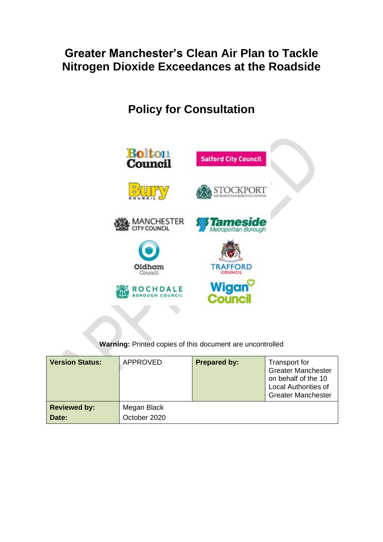# **Greater Manchester's Clean Air Plan to Tackle Nitrogen Dioxide Exceedances at the Roadside**

# **Policy for Consultation**



**Warning:** Printed copies of this document are uncontrolled

| <b>Version Status:</b> | <b>APPROVED</b> | <b>Prepared by:</b> | Transport for<br><b>Greater Manchester</b><br>on behalf of the 10<br><b>Local Authorities of</b><br><b>Greater Manchester</b> |
|------------------------|-----------------|---------------------|-------------------------------------------------------------------------------------------------------------------------------|
| <b>Reviewed by:</b>    | Megan Black     |                     |                                                                                                                               |
| Date:                  | October 2020    |                     |                                                                                                                               |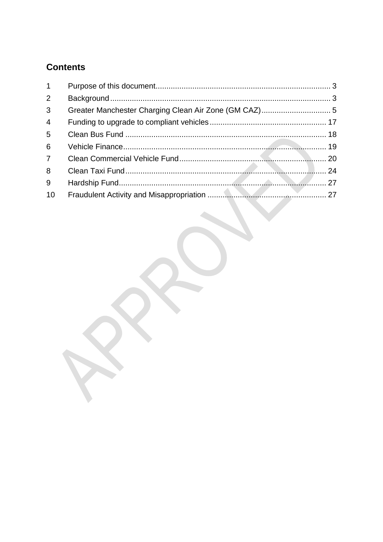# **Contents**

| 1               |  |
|-----------------|--|
| $\overline{2}$  |  |
| 3 <sup>1</sup>  |  |
| $\overline{4}$  |  |
| $5\overline{)}$ |  |
| 6               |  |
| $7^{\circ}$     |  |
| 8               |  |
| 9               |  |
| 10              |  |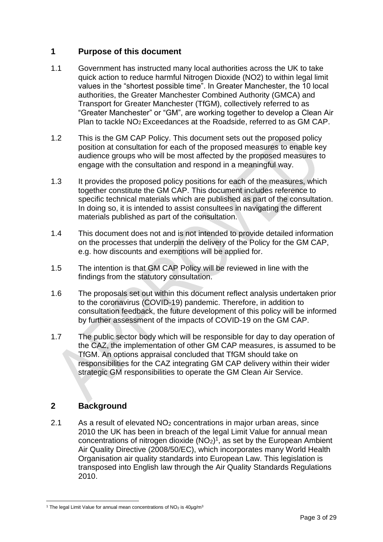### <span id="page-2-0"></span>**1 Purpose of this document**

- 1.1 Government has instructed many local authorities across the UK to take quick action to reduce harmful Nitrogen Dioxide (NO2) to within legal limit values in the "shortest possible time". In Greater Manchester, the 10 local authorities, the Greater Manchester Combined Authority (GMCA) and Transport for Greater Manchester (TfGM), collectively referred to as "Greater Manchester" or "GM", are working together to develop a Clean Air Plan to tackle NO<sup>2</sup> Exceedances at the Roadside, referred to as GM CAP.
- 1.2 This is the GM CAP Policy. This document sets out the proposed policy position at consultation for each of the proposed measures to enable key audience groups who will be most affected by the proposed measures to engage with the consultation and respond in a meaningful way.
- 1.3 It provides the proposed policy positions for each of the measures, which together constitute the GM CAP. This document includes reference to specific technical materials which are published as part of the consultation. In doing so, it is intended to assist consultees in navigating the different materials published as part of the consultation.
- 1.4 This document does not and is not intended to provide detailed information on the processes that underpin the delivery of the Policy for the GM CAP, e.g. how discounts and exemptions will be applied for.
- 1.5 The intention is that GM CAP Policy will be reviewed in line with the findings from the statutory consultation.
- 1.6 The proposals set out within this document reflect analysis undertaken prior to the coronavirus (COVID-19) pandemic. Therefore, in addition to consultation feedback, the future development of this policy will be informed by further assessment of the impacts of COVID-19 on the GM CAP.
- 1.7 The public sector body which will be responsible for day to day operation of the CAZ, the implementation of other GM CAP measures, is assumed to be TfGM. An options appraisal concluded that TfGM should take on responsibilities for the CAZ integrating GM CAP delivery within their wider strategic GM responsibilities to operate the GM Clean Air Service.

# <span id="page-2-1"></span>**2 Background**

2.1 As a result of elevated  $NO<sub>2</sub>$  concentrations in major urban areas, since 2010 the UK has been in breach of the legal Limit Value for annual mean concentrations of nitrogen dioxide  $(NO<sub>2</sub>)<sup>1</sup>$ , as set by the European Ambient Air Quality Directive (2008/50/EC), which incorporates many World Health Organisation air quality standards into European Law. This legislation is transposed into English law through the Air Quality Standards Regulations 2010.

<sup>&</sup>lt;sup>1</sup> The legal Limit Value for annual mean concentrations of  $NO<sub>2</sub>$  is  $40\mu g/m<sup>3</sup>$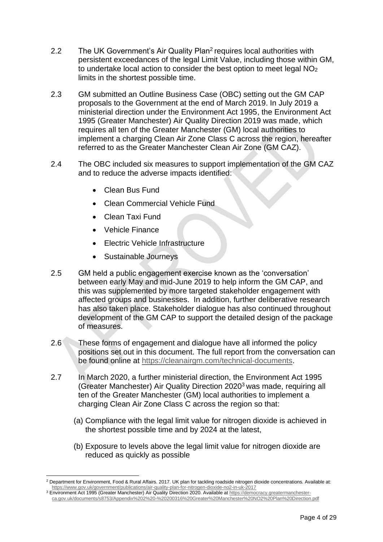- 2.2 The UK Government's Air Quality Plan<sup>2</sup> requires local authorities with persistent exceedances of the legal Limit Value, including those within GM, to undertake local action to consider the best option to meet legal NO<sup>2</sup> limits in the shortest possible time.
- 2.3 GM submitted an Outline Business Case (OBC) setting out the GM CAP proposals to the Government at the end of March 2019. In July 2019 a ministerial direction under the Environment Act 1995, the Environment Act 1995 (Greater Manchester) Air Quality Direction 2019 was made, which requires all ten of the Greater Manchester (GM) local authorities to implement a charging Clean Air Zone Class C across the region, hereafter referred to as the Greater Manchester Clean Air Zone (GM CAZ).
- 2.4 The OBC included six measures to support implementation of the GM CAZ and to reduce the adverse impacts identified:
	- Clean Bus Fund
	- Clean Commercial Vehicle Fund
	- Clean Taxi Fund
	- Vehicle Finance
	- Electric Vehicle Infrastructure
	- Sustainable Journeys
- 2.5 GM held a public engagement exercise known as the 'conversation' between early May and mid-June 2019 to help inform the GM CAP, and this was supplemented by more targeted stakeholder engagement with affected groups and businesses. In addition, further deliberative research has also taken place. Stakeholder dialogue has also continued throughout development of the GM CAP to support the detailed design of the package of measures.
- 2.6 These forms of engagement and dialogue have all informed the policy positions set out in this document. The full report from the conversation can be found online at [https://cleanairgm.com/technical-documents.](https://cleanairgm.com/technical-documents)
- 2.7 In March 2020, a further ministerial direction, the Environment Act 1995 (Greater Manchester) Air Quality Direction 2020<sup>3</sup> was made, requiring all ten of the Greater Manchester (GM) local authorities to implement a charging Clean Air Zone Class C across the region so that:
	- (a) Compliance with the legal limit value for nitrogen dioxide is achieved in the shortest possible time and by 2024 at the latest,
	- (b) Exposure to levels above the legal limit value for nitrogen dioxide are reduced as quickly as possible

<sup>&</sup>lt;sup>2</sup> Department for Environment, Food & Rural Affairs. 2017. UK plan for tackling roadside nitrogen dioxide concentrations. Available at: <https://www.gov.uk/government/publications/air-quality-plan-for-nitrogen-dioxide-no2-in-uk-2017>

<sup>3</sup> Environment Act 1995 (Greater Manchester) Air Quality Direction 2020. Available a[t https://democracy.greatermanchester](https://democracy.greatermanchester-ca.gov.uk/documents/s8753/Appendix%202%20-%20200316%20Greater%20Manchester%20NO2%20Plan%20Direction.pdf)[ca.gov.uk/documents/s8753/Appendix%202%20-%20200316%20Greater%20Manchester%20NO2%20Plan%20Direction.pdf](https://democracy.greatermanchester-ca.gov.uk/documents/s8753/Appendix%202%20-%20200316%20Greater%20Manchester%20NO2%20Plan%20Direction.pdf)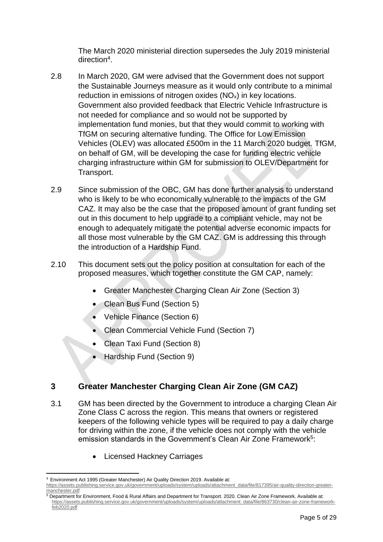The March 2020 ministerial direction supersedes the July 2019 ministerial direction<sup>4</sup>.

- 2.8 In March 2020, GM were advised that the Government does not support the Sustainable Journeys measure as it would only contribute to a minimal reduction in emissions of nitrogen oxides (NO<sub>x</sub>) in key locations. Government also provided feedback that Electric Vehicle Infrastructure is not needed for compliance and so would not be supported by implementation fund monies, but that they would commit to working with TfGM on securing alternative funding. The Office for Low Emission Vehicles (OLEV) was allocated £500m in the 11 March 2020 budget. TfGM, on behalf of GM, will be developing the case for funding electric vehicle charging infrastructure within GM for submission to OLEV/Department for Transport.
- 2.9 Since submission of the OBC, GM has done further analysis to understand who is likely to be who economically vulnerable to the impacts of the GM CAZ. It may also be the case that the proposed amount of grant funding set out in this document to help upgrade to a compliant vehicle, may not be enough to adequately mitigate the potential adverse economic impacts for all those most vulnerable by the GM CAZ. GM is addressing this through the introduction of a Hardship Fund.
- 2.10 This document sets out the policy position at consultation for each of the proposed measures, which together constitute the GM CAP, namely:
	- Greater Manchester Charging Clean Air Zone (Section 3)
	- Clean Bus Fund (Section 5)
	- Vehicle Finance (Section 6)
	- Clean Commercial Vehicle Fund (Section 7)
	- Clean Taxi Fund (Section 8)
	- Hardship Fund (Section 9)

# <span id="page-4-0"></span>**3 Greater Manchester Charging Clean Air Zone (GM CAZ)**

- 3.1 GM has been directed by the Government to introduce a charging Clean Air Zone Class C across the region. This means that owners or registered keepers of the following vehicle types will be required to pay a daily charge for driving within the zone, if the vehicle does not comply with the vehicle emission standards in the Government's Clean Air Zone Framework<sup>5</sup>:
	- Licensed Hackney Carriages

<sup>4</sup> Environment Act 1995 (Greater Manchester) Air Quality Direction 2019. Available at:

[https://assets.publishing.service.gov.uk/government/uploads/system/uploads/attachment\\_data/file/817395/air-quality-direction-greater](https://assets.publishing.service.gov.uk/government/uploads/system/uploads/attachment_data/file/817395/air-quality-direction-greater-manchester.pdf)[manchester.pdf](https://assets.publishing.service.gov.uk/government/uploads/system/uploads/attachment_data/file/817395/air-quality-direction-greater-manchester.pdf)

<sup>5</sup> Department for Environment, Food & Rural Affairs and Department for Transport. 2020. Clean Air Zone Framework. Available at: [https://assets.publishing.service.gov.uk/government/uploads/system/uploads/attachment\\_data/file/863730/clean-air-zone-framework](https://assets.publishing.service.gov.uk/government/uploads/system/uploads/attachment_data/file/863730/clean-air-zone-framework-feb2020.pdf)[feb2020.pdf](https://assets.publishing.service.gov.uk/government/uploads/system/uploads/attachment_data/file/863730/clean-air-zone-framework-feb2020.pdf)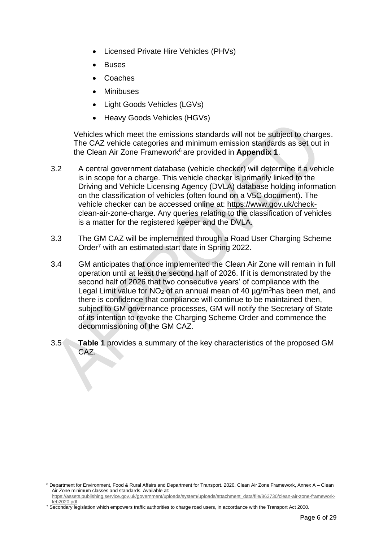- Licensed Private Hire Vehicles (PHVs)
- **Buses**
- Coaches
- **Minibuses**
- Light Goods Vehicles (LGVs)
- Heavy Goods Vehicles (HGVs)

Vehicles which meet the emissions standards will not be subject to charges. The CAZ vehicle categories and minimum emission standards as set out in the Clean Air Zone Framework<sup>6</sup> are provided in **Appendix 1.** 

- 3.2 A central government database (vehicle checker) will determine if a vehicle is in scope for a charge. This vehicle checker is primarily linked to the Driving and Vehicle Licensing Agency (DVLA) database holding information on the classification of vehicles (often found on a V5C document). The vehicle checker can be accessed online at: [https://www.gov.uk/check](https://www.gov.uk/check-clean-air-zone-charge)[clean-air-zone-charge.](https://www.gov.uk/check-clean-air-zone-charge) Any queries relating to the classification of vehicles is a matter for the registered keeper and the DVLA.
- 3.3 The GM CAZ will be implemented through a Road User Charging Scheme Order<sup>7</sup> with an estimated start date in Spring 2022.
- 3.4 GM anticipates that once implemented the Clean Air Zone will remain in full operation until at least the second half of 2026. If it is demonstrated by the second half of 2026 that two consecutive years' of compliance with the Legal Limit value for  $NO<sub>2</sub>$  of an annual mean of 40  $\mu$ g/m<sup>3</sup>has been met, and there is confidence that compliance will continue to be maintained then, subject to GM governance processes, GM will notify the Secretary of State of its intention to revoke the Charging Scheme Order and commence the decommissioning of the GM CAZ.
- 3.5 **Table 1** provides a summary of the key characteristics of the proposed GM CAZ.

<sup>6</sup> Department for Environment, Food & Rural Affairs and Department for Transport. 2020. Clean Air Zone Framework, Annex A – Clean Air Zone minimum classes and standards. Available at:

[https://assets.publishing.service.gov.uk/government/uploads/system/uploads/attachment\\_data/file/863730/clean-air-zone-framework](https://assets.publishing.service.gov.uk/government/uploads/system/uploads/attachment_data/file/863730/clean-air-zone-framework-feb2020.pdf)[feb2020.pdf](https://assets.publishing.service.gov.uk/government/uploads/system/uploads/attachment_data/file/863730/clean-air-zone-framework-feb2020.pdf)

<sup>&</sup>lt;sup>7</sup> Secondary legislation which empowers traffic authorities to charge road users, in accordance with the Transport Act 2000.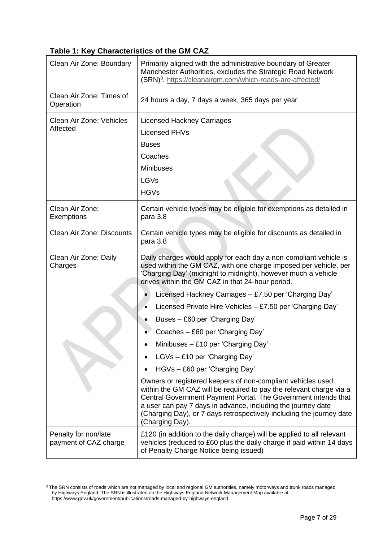# **Table 1: Key Characteristics of the GM CAZ**

| Clean Air Zone: Boundary                      | Primarily aligned with the administrative boundary of Greater<br>Manchester Authorities, excludes the Strategic Road Network<br>(SRN) <sup>8</sup> . https://cleanairgm.com/which-roads-are-affected/                                                                                                                                                           |  |  |
|-----------------------------------------------|-----------------------------------------------------------------------------------------------------------------------------------------------------------------------------------------------------------------------------------------------------------------------------------------------------------------------------------------------------------------|--|--|
| Clean Air Zone: Times of<br>Operation         | 24 hours a day, 7 days a week, 365 days per year                                                                                                                                                                                                                                                                                                                |  |  |
| Clean Air Zone: Vehicles                      | <b>Licensed Hackney Carriages</b>                                                                                                                                                                                                                                                                                                                               |  |  |
| Affected                                      | <b>Licensed PHVs</b>                                                                                                                                                                                                                                                                                                                                            |  |  |
|                                               | <b>Buses</b>                                                                                                                                                                                                                                                                                                                                                    |  |  |
|                                               | Coaches                                                                                                                                                                                                                                                                                                                                                         |  |  |
|                                               | <b>Minibuses</b>                                                                                                                                                                                                                                                                                                                                                |  |  |
|                                               | LGVs                                                                                                                                                                                                                                                                                                                                                            |  |  |
|                                               | <b>HGVs</b>                                                                                                                                                                                                                                                                                                                                                     |  |  |
| Clean Air Zone:<br>Exemptions                 | Certain vehicle types may be eligible for exemptions as detailed in<br>para 3.8                                                                                                                                                                                                                                                                                 |  |  |
| Clean Air Zone: Discounts                     | Certain vehicle types may be eligible for discounts as detailed in<br>para 3.8                                                                                                                                                                                                                                                                                  |  |  |
| Clean Air Zone: Daily<br>Charges              | Daily charges would apply for each day a non-compliant vehicle is<br>used within the GM CAZ, with one charge imposed per vehicle, per<br>'Charging Day' (midnight to midnight), however much a vehicle<br>drives within the GM CAZ in that 24-hour period.                                                                                                      |  |  |
|                                               | Licensed Hackney Carriages - £7.50 per 'Charging Day'                                                                                                                                                                                                                                                                                                           |  |  |
|                                               | Licensed Private Hire Vehicles - £7.50 per 'Charging Day'                                                                                                                                                                                                                                                                                                       |  |  |
|                                               | Buses - £60 per 'Charging Day'                                                                                                                                                                                                                                                                                                                                  |  |  |
|                                               | Coaches - £60 per 'Charging Day'                                                                                                                                                                                                                                                                                                                                |  |  |
|                                               | Minibuses - £10 per 'Charging Day'                                                                                                                                                                                                                                                                                                                              |  |  |
|                                               | LGVs - £10 per 'Charging Day'                                                                                                                                                                                                                                                                                                                                   |  |  |
|                                               | HGVs - £60 per 'Charging Day'                                                                                                                                                                                                                                                                                                                                   |  |  |
|                                               | Owners or registered keepers of non-compliant vehicles used<br>within the GM CAZ will be required to pay the relevant charge via a<br>Central Government Payment Portal. The Government intends that<br>a user can pay 7 days in advance, including the journey date<br>(Charging Day), or 7 days retrospectively including the journey date<br>(Charging Day). |  |  |
| Penalty for non/late<br>payment of CAZ charge | £120 (in addition to the daily charge) will be applied to all relevant<br>vehicles (reduced to £60 plus the daily charge if paid within 14 days<br>of Penalty Charge Notice being issued)                                                                                                                                                                       |  |  |

<sup>&</sup>lt;sup>8</sup> The SRN consists of roads which are not managed by local and regional GM authorities, namely motorways and trunk roads managed by Highways England. The SRN is illustrated on the Highways England Network Management Map available at: <https://www.gov.uk/government/publications/roads-managed-by-highways-england>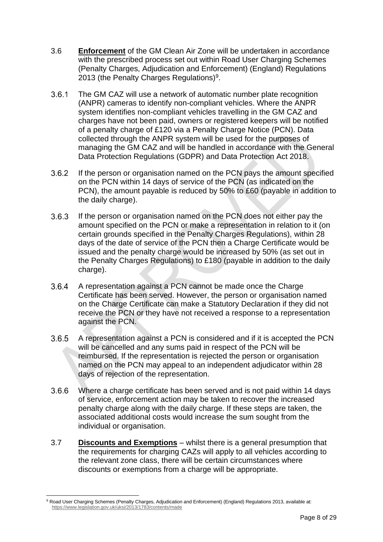- 3.6 **Enforcement** of the GM Clean Air Zone will be undertaken in accordance with the prescribed process set out within Road User Charging Schemes (Penalty Charges, Adjudication and Enforcement) (England) Regulations 2013 (the Penalty Charges Regulations)<sup>9</sup>.
- $3.6.1$ The GM CAZ will use a network of automatic number plate recognition (ANPR) cameras to identify non-compliant vehicles. Where the ANPR system identifies non-compliant vehicles travelling in the GM CAZ and charges have not been paid, owners or registered keepers will be notified of a penalty charge of £120 via a Penalty Charge Notice (PCN). Data collected through the ANPR system will be used for the purposes of managing the GM CAZ and will be handled in accordance with the General Data Protection Regulations (GDPR) and Data Protection Act 2018.
- If the person or organisation named on the PCN pays the amount specified  $3.6.2$ on the PCN within 14 days of service of the PCN (as indicated on the PCN), the amount payable is reduced by 50% to £60 (payable in addition to the daily charge).
- $3.6.3$ If the person or organisation named on the PCN does not either pay the amount specified on the PCN or make a representation in relation to it (on certain grounds specified in the Penalty Charges Regulations), within 28 days of the date of service of the PCN then a Charge Certificate would be issued and the penalty charge would be increased by 50% (as set out in the Penalty Charges Regulations) to £180 (payable in addition to the daily charge).
- $3.6.4$ A representation against a PCN cannot be made once the Charge Certificate has been served. However, the person or organisation named on the Charge Certificate can make a Statutory Declaration if they did not receive the PCN or they have not received a response to a representation against the PCN.
- $3.6.5$ A representation against a PCN is considered and if it is accepted the PCN will be cancelled and any sums paid in respect of the PCN will be reimbursed. If the representation is rejected the person or organisation named on the PCN may appeal to an independent adjudicator within 28 days of rejection of the representation.
- $3.6.6$ Where a charge certificate has been served and is not paid within 14 days of service, enforcement action may be taken to recover the increased penalty charge along with the daily charge. If these steps are taken, the associated additional costs would increase the sum sought from the individual or organisation.
- 3.7 **Discounts and Exemptions** whilst there is a general presumption that the requirements for charging CAZs will apply to all vehicles according to the relevant zone class, there will be certain circumstances where discounts or exemptions from a charge will be appropriate.

<sup>9</sup> Road User Charging Schemes (Penalty Charges, Adjudication and Enforcement) (England) Regulations 2013, available at: <https://www.legislation.gov.uk/uksi/2013/1783/contents/made>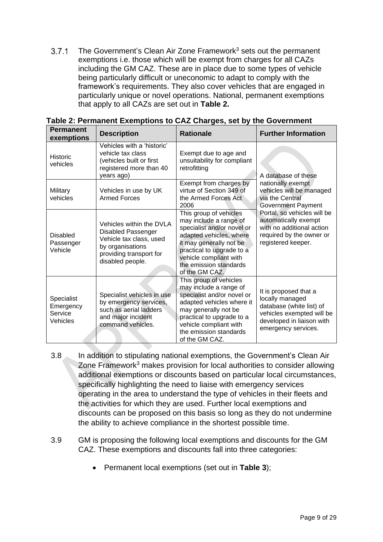$3.7.1$ The Government's Clean Air Zone Framework<sup>3</sup> sets out the permanent exemptions i.e. those which will be exempt from charges for all CAZs including the GM CAZ. These are in place due to some types of vehicle being particularly difficult or uneconomic to adapt to comply with the framework's requirements. They also cover vehicles that are engaged in particularly unique or novel operations. National, permanent exemptions that apply to all CAZs are set out in **Table 2.**

| <b>Permanent</b><br>exemptions                 | <b>Description</b>                                                                                                                                  | <b>Rationale</b>                                                                                                                                                                                                                        | <b>Further Information</b>                                                                                                                            |
|------------------------------------------------|-----------------------------------------------------------------------------------------------------------------------------------------------------|-----------------------------------------------------------------------------------------------------------------------------------------------------------------------------------------------------------------------------------------|-------------------------------------------------------------------------------------------------------------------------------------------------------|
| <b>Historic</b><br>vehicles                    | Vehicles with a 'historic'<br>vehicle tax class<br>(vehicles built or first<br>registered more than 40<br>years ago)                                | Exempt due to age and<br>unsuitability for compliant<br>retrofitting                                                                                                                                                                    | A database of these                                                                                                                                   |
| Military<br>vehicles                           | Vehicles in use by UK<br><b>Armed Forces</b>                                                                                                        | Exempt from charges by<br>virtue of Section 349 of<br>the Armed Forces Act<br>2006                                                                                                                                                      | nationally exempt<br>vehicles will be managed<br>via the Central<br><b>Government Payment</b>                                                         |
| <b>Disabled</b><br>Passenger<br>Vehicle        | Vehicles within the DVLA<br><b>Disabled Passenger</b><br>Vehicle tax class, used<br>by organisations<br>providing transport for<br>disabled people. | This group of vehicles<br>may include a range of<br>specialist and/or novel or<br>adapted vehicles, where<br>it may generally not be<br>practical to upgrade to a<br>vehicle compliant with<br>the emission standards<br>of the GM CAZ. | Portal, so vehicles will be<br>automatically exempt<br>with no additional action<br>required by the owner or<br>registered keeper.                    |
| Specialist<br>Emergency<br>Service<br>Vehicles | Specialist vehicles in use<br>by emergency services,<br>such as aerial ladders<br>and major incident<br>command vehicles.                           | This group of vehicles<br>may include a range of<br>specialist and/or novel or<br>adapted vehicles where it<br>may generally not be<br>practical to upgrade to a<br>vehicle compliant with<br>the emission standards<br>of the GM CAZ.  | It is proposed that a<br>locally managed<br>database (white list) of<br>vehicles exempted will be<br>developed in liaison with<br>emergency services. |

**Table 2: Permanent Exemptions to CAZ Charges, set by the Government**

- 3.8 In addition to stipulating national exemptions, the Government's Clean Air Zone Framework<sup>3</sup> makes provision for local authorities to consider allowing additional exemptions or discounts based on particular local circumstances, specifically highlighting the need to liaise with emergency services operating in the area to understand the type of vehicles in their fleets and the activities for which they are used. Further local exemptions and discounts can be proposed on this basis so long as they do not undermine the ability to achieve compliance in the shortest possible time.
- 3.9 GM is proposing the following local exemptions and discounts for the GM CAZ. These exemptions and discounts fall into three categories:
	- Permanent local exemptions (set out in **Table 3**);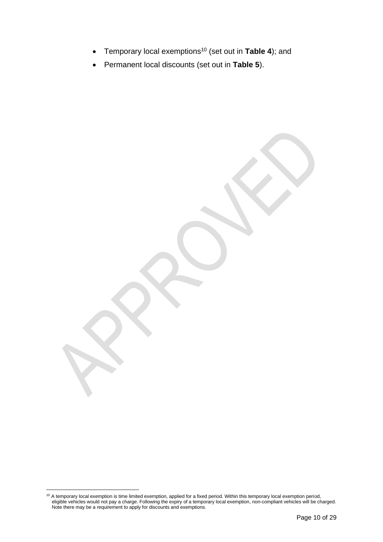- Temporary local exemptions<sup>10</sup> (set out in **Table 4**); and
- Permanent local discounts (set out in **Table 5**).

<sup>&</sup>lt;sup>10</sup> A temporary local exemption is time limited exemption, applied for a fixed period. Within this temporary local exemption period, eligible vehicles would not pay a charge. Following the expiry of a temporary local exemption, non-compliant vehicles will be charged. Note there may be a requirement to apply for discounts and exemptions.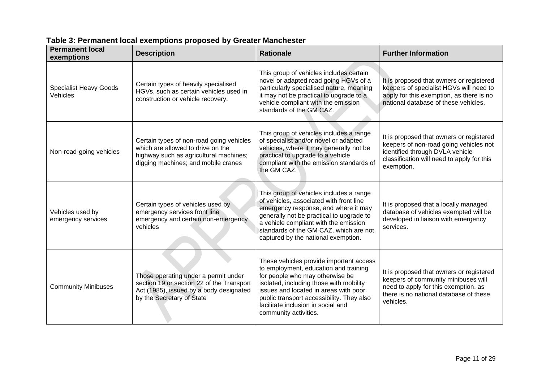| <b>Permanent local</b><br>exemptions             | <b>Description</b>                                                                                                                                             | <b>Rationale</b>                                                                                                                                                                                                                                                                                                    | <b>Further Information</b>                                                                                                                                                        |
|--------------------------------------------------|----------------------------------------------------------------------------------------------------------------------------------------------------------------|---------------------------------------------------------------------------------------------------------------------------------------------------------------------------------------------------------------------------------------------------------------------------------------------------------------------|-----------------------------------------------------------------------------------------------------------------------------------------------------------------------------------|
| <b>Specialist Heavy Goods</b><br><b>Vehicles</b> | Certain types of heavily specialised<br>HGVs, such as certain vehicles used in<br>construction or vehicle recovery.                                            | This group of vehicles includes certain<br>novel or adapted road going HGVs of a<br>particularly specialised nature, meaning<br>it may not be practical to upgrade to a<br>vehicle compliant with the emission<br>standards of the GM CAZ.                                                                          | It is proposed that owners or registered<br>keepers of specialist HGVs will need to<br>apply for this exemption, as there is no<br>national database of these vehicles.           |
| Non-road-going vehicles                          | Certain types of non-road going vehicles<br>which are allowed to drive on the<br>highway such as agricultural machines;<br>digging machines; and mobile cranes | This group of vehicles includes a range<br>of specialist and/or novel or adapted<br>vehicles, where it may generally not be<br>practical to upgrade to a vehicle<br>compliant with the emission standards of<br>the GM CAZ.                                                                                         | It is proposed that owners or registered<br>keepers of non-road going vehicles not<br>identified through DVLA vehicle<br>classification will need to apply for this<br>exemption. |
| Vehicles used by<br>emergency services           | Certain types of vehicles used by<br>emergency services front line<br>emergency and certain non-emergency<br>vehicles                                          | This group of vehicles includes a range<br>of vehicles, associated with front line<br>emergency response, and where it may<br>generally not be practical to upgrade to<br>a vehicle compliant with the emission<br>standards of the GM CAZ, which are not<br>captured by the national exemption.                    | It is proposed that a locally managed<br>database of vehicles exempted will be<br>developed in liaison with emergency<br>services.                                                |
| <b>Community Minibuses</b>                       | Those operating under a permit under<br>section 19 or section 22 of the Transport<br>Act (1985), issued by a body designated<br>by the Secretary of State      | These vehicles provide important access<br>to employment, education and training<br>for people who may otherwise be<br>isolated, including those with mobility<br>issues and located in areas with poor<br>public transport accessibility. They also<br>facilitate inclusion in social and<br>community activities. | It is proposed that owners or registered<br>keepers of community minibuses will<br>need to apply for this exemption, as<br>there is no national database of these<br>vehicles.    |

# **Table 3: Permanent local exemptions proposed by Greater Manchester**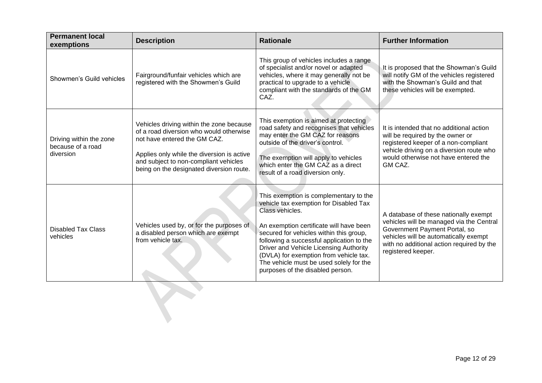| <b>Permanent local</b><br>exemptions                      | <b>Description</b>                                                                                                                                                                                                                                     | <b>Rationale</b>                                                                                                                                                                                                                                                                                                                                                                                          | <b>Further Information</b>                                                                                                                                                                                                     |
|-----------------------------------------------------------|--------------------------------------------------------------------------------------------------------------------------------------------------------------------------------------------------------------------------------------------------------|-----------------------------------------------------------------------------------------------------------------------------------------------------------------------------------------------------------------------------------------------------------------------------------------------------------------------------------------------------------------------------------------------------------|--------------------------------------------------------------------------------------------------------------------------------------------------------------------------------------------------------------------------------|
| Showmen's Guild vehicles                                  | Fairground/funfair vehicles which are<br>registered with the Showmen's Guild                                                                                                                                                                           | This group of vehicles includes a range<br>of specialist and/or novel or adapted<br>vehicles, where it may generally not be<br>practical to upgrade to a vehicle<br>compliant with the standards of the GM<br>CAZ.                                                                                                                                                                                        | It is proposed that the Showman's Guild<br>will notify GM of the vehicles registered<br>with the Showman's Guild and that<br>these vehicles will be exempted.                                                                  |
| Driving within the zone<br>because of a road<br>diversion | Vehicles driving within the zone because<br>of a road diversion who would otherwise<br>not have entered the GM CAZ.<br>Applies only while the diversion is active<br>and subject to non-compliant vehicles<br>being on the designated diversion route. | This exemption is aimed at protecting<br>road safety and recognises that vehicles<br>may enter the GM CAZ for reasons<br>outside of the driver's control.<br>The exemption will apply to vehicles<br>which enter the GM CAZ as a direct<br>result of a road diversion only.                                                                                                                               | It is intended that no additional action<br>will be required by the owner or<br>registered keeper of a non-compliant<br>vehicle driving on a diversion route who<br>would otherwise not have entered the<br>GM CAZ.            |
| <b>Disabled Tax Class</b><br>vehicles                     | Vehicles used by, or for the purposes of<br>a disabled person which are exempt<br>from vehicle tax.                                                                                                                                                    | This exemption is complementary to the<br>vehicle tax exemption for Disabled Tax<br>Class vehicles.<br>An exemption certificate will have been<br>secured for vehicles within this group,<br>following a successful application to the<br>Driver and Vehicle Licensing Authority<br>(DVLA) for exemption from vehicle tax.<br>The vehicle must be used solely for the<br>purposes of the disabled person. | A database of these nationally exempt<br>vehicles will be managed via the Central<br>Government Payment Portal, so<br>vehicles will be automatically exempt<br>with no additional action required by the<br>registered keeper. |
|                                                           |                                                                                                                                                                                                                                                        |                                                                                                                                                                                                                                                                                                                                                                                                           |                                                                                                                                                                                                                                |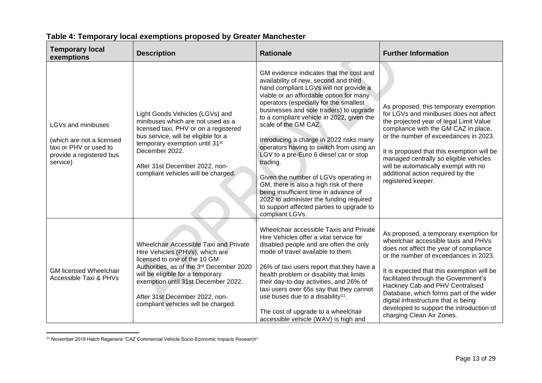| <b>Temporary local</b><br>exemptions                                                                              | <b>Description</b>                                                                                                                                                                                                                                                                                        | <b>Rationale</b>                                                                                                                                                                                                                                                                                                                                                                                                                                                                                                                                                                                                                                                                                                    | <b>Further Information</b>                                                                                                                                                                                                                                                                                                                                                                                                                             |
|-------------------------------------------------------------------------------------------------------------------|-----------------------------------------------------------------------------------------------------------------------------------------------------------------------------------------------------------------------------------------------------------------------------------------------------------|---------------------------------------------------------------------------------------------------------------------------------------------------------------------------------------------------------------------------------------------------------------------------------------------------------------------------------------------------------------------------------------------------------------------------------------------------------------------------------------------------------------------------------------------------------------------------------------------------------------------------------------------------------------------------------------------------------------------|--------------------------------------------------------------------------------------------------------------------------------------------------------------------------------------------------------------------------------------------------------------------------------------------------------------------------------------------------------------------------------------------------------------------------------------------------------|
| LGVs and minibuses<br>(which are not a licensed<br>taxi or PHV or used to<br>provide a registered bus<br>service) | Light Goods Vehicles (LGVs) and<br>minibuses which are not used as a<br>licensed taxi, PHV or on a registered<br>bus service, will be eligible for a<br>temporary exemption until 31 <sup>st</sup><br>December 2022.<br>After 31st December 2022, non-<br>compliant vehicles will be charged.             | GM evidence indicates that the cost and<br>availability of new, second and third<br>hand compliant LGVs will not provide a<br>viable or an affordable option for many<br>operators (especially for the smallest<br>businesses and sole traders) to upgrade<br>to a compliant vehicle in 2022, given the<br>scale of the GM CAZ.<br>Introducing a charge in 2022 risks many<br>operators having to switch from using an<br>LGV to a pre-Euro 6 diesel car or stop<br>trading.<br>Given the number of LGVs operating in<br>GM, there is also a high risk of there<br>being insufficient time in advance of<br>2022 to administer the funding required<br>to support affected parties to upgrade to<br>compliant LGVs. | As proposed, this temporary exemption<br>for LGVs and minibuses does not affect<br>the projected year of legal Limit Value<br>compliance with the GM CAZ in place,<br>or the number of exceedances in 2023.<br>It is proposed that this exemption will be<br>managed centrally so eligible vehicles<br>will be automatically exempt with no<br>additional action required by the<br>registered keeper.                                                 |
| <b>GM licensed Wheelchair</b><br>Accessible Taxi & PHVs                                                           | Wheelchair Accessible Taxi and Private<br>Hire Vehicles (PHVs), which are<br>licensed to one of the 10 GM<br>Authorities, as of the 3rd December 2020<br>will be eligible for a temporary<br>exemption until 31st December 2022.<br>After 31st December 2022, non-<br>compliant vehicles will be charged. | Wheelchair accessible Taxis and Private<br>Hire Vehicles offer a vital service for<br>disabled people and are often the only<br>mode of travel available to them.<br>26% of taxi users report that they have a<br>health problem or disability that limits<br>their day-to-day activities, and 26% of<br>taxi users over 65s say that they cannot<br>use buses due to a disability <sup>11</sup> .<br>The cost of upgrade to a wheelchair<br>accessible vehicle (WAV) is high and                                                                                                                                                                                                                                   | As proposed, a temporary exemption for<br>wheelchair accessible taxis and PHVs<br>does not affect the year of compliance<br>or the number of exceedances in 2023.<br>It is expected that this exemption will be<br>facilitated through the Government's<br>Hackney Cab and PHV Centralised<br>Database, which forms part of the wider<br>digital infrastructure that is being<br>developed to support the introduction of<br>charging Clean Air Zones. |

### **Table 4: Temporary local exemptions proposed by Greater Manchester**

<sup>11</sup> November 2019 Hatch Regeneris "CAZ Commercial Vehicle Socio-Economic Impacts Research"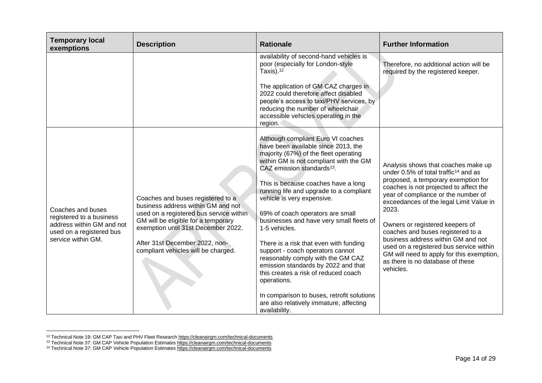| <b>Temporary local</b><br>exemptions                                                                                         | <b>Description</b>                                                                                                                                                                                                                                                        | <b>Rationale</b>                                                                                                                                                                                                                                                                                                                                                                                                                                                                                                                                                                                                                                                                                                                                   | <b>Further Information</b>                                                                                                                                                                                                                                                                                                                                                                                                                                                                                                 |
|------------------------------------------------------------------------------------------------------------------------------|---------------------------------------------------------------------------------------------------------------------------------------------------------------------------------------------------------------------------------------------------------------------------|----------------------------------------------------------------------------------------------------------------------------------------------------------------------------------------------------------------------------------------------------------------------------------------------------------------------------------------------------------------------------------------------------------------------------------------------------------------------------------------------------------------------------------------------------------------------------------------------------------------------------------------------------------------------------------------------------------------------------------------------------|----------------------------------------------------------------------------------------------------------------------------------------------------------------------------------------------------------------------------------------------------------------------------------------------------------------------------------------------------------------------------------------------------------------------------------------------------------------------------------------------------------------------------|
|                                                                                                                              |                                                                                                                                                                                                                                                                           | availability of second-hand vehicles is<br>poor (especially for London-style<br>Taxis). $12$<br>The application of GM CAZ charges in<br>2022 could therefore affect disabled<br>people's access to taxi/PHV services, by<br>reducing the number of wheelchair<br>accessible vehicles operating in the<br>region.                                                                                                                                                                                                                                                                                                                                                                                                                                   | Therefore, no additional action will be<br>required by the registered keeper.                                                                                                                                                                                                                                                                                                                                                                                                                                              |
| Coaches and buses<br>registered to a business<br>address within GM and not<br>used on a registered bus<br>service within GM. | Coaches and buses registered to a<br>business address within GM and not<br>used on a registered bus service within<br>GM will be eligible for a temporary<br>exemption until 31st December 2022.<br>After 31st December 2022, non-<br>compliant vehicles will be charged. | Although compliant Euro VI coaches<br>have been available since 2013, the<br>majority (67%) of the fleet operating<br>within GM is not compliant with the GM<br>CAZ emission standards <sup>13</sup> .<br>This is because coaches have a long<br>running life and upgrade to a compliant<br>vehicle is very expensive.<br>69% of coach operators are small<br>businesses and have very small fleets of<br>1-5 vehicles.<br>There is a risk that even with funding<br>support - coach operators cannot<br>reasonably comply with the GM CAZ<br>emission standards by 2022 and that<br>this creates a risk of reduced coach<br>operations.<br>In comparison to buses, retrofit solutions<br>are also relatively immature, affecting<br>availability. | Analysis shows that coaches make up<br>under 0.5% of total traffic <sup>14</sup> and as<br>proposed, a temporary exemption for<br>coaches is not projected to affect the<br>year of compliance or the number of<br>exceedances of the legal Limit Value in<br>2023.<br>Owners or registered keepers of<br>coaches and buses registered to a<br>business address within GM and not<br>used on a registered bus service within<br>GM will need to apply for this exemption,<br>as there is no database of these<br>vehicles. |

<sup>&</sup>lt;sup>12</sup> Technical Note 19: GM CAP Taxi and PHV Fleet Research <https://cleanairgm.com/technical-documents>

<sup>&</sup>lt;sup>13</sup> Technical Note 37: GM CAP Vehicle Population Estimate[s https://cleanairgm.com/technical-documents](https://cleanairgm.com/technical-documents)

<sup>&</sup>lt;sup>14</sup> Technical Note 37: GM CAP Vehicle Population Estimates<https://cleanairgm.com/technical-documents>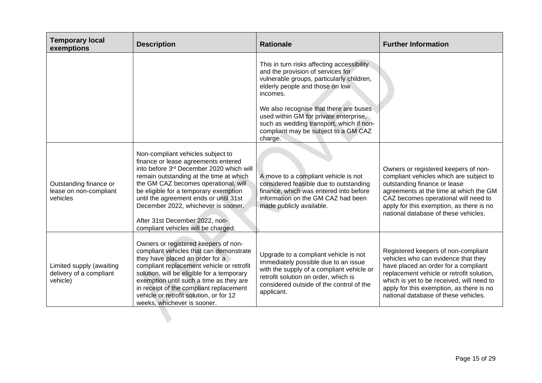| <b>Temporary local</b><br>exemptions                            | <b>Description</b>                                                                                                                                                                                                                                                                                                                                                                                         | <b>Rationale</b>                                                                                                                                                                                                                                                                                                                                               | <b>Further Information</b>                                                                                                                                                                                                                                                                       |
|-----------------------------------------------------------------|------------------------------------------------------------------------------------------------------------------------------------------------------------------------------------------------------------------------------------------------------------------------------------------------------------------------------------------------------------------------------------------------------------|----------------------------------------------------------------------------------------------------------------------------------------------------------------------------------------------------------------------------------------------------------------------------------------------------------------------------------------------------------------|--------------------------------------------------------------------------------------------------------------------------------------------------------------------------------------------------------------------------------------------------------------------------------------------------|
|                                                                 |                                                                                                                                                                                                                                                                                                                                                                                                            | This in turn risks affecting accessibility<br>and the provision of services for<br>vulnerable groups, particularly children,<br>elderly people and those on low<br>incomes.<br>We also recognise that there are buses<br>used within GM for private enterprise,<br>such as wedding transport, which if non-<br>compliant may be subject to a GM CAZ<br>charge. |                                                                                                                                                                                                                                                                                                  |
| Outstanding finance or<br>lease on non-compliant<br>vehicles    | Non-compliant vehicles subject to<br>finance or lease agreements entered<br>into before 3rd December 2020 which will<br>remain outstanding at the time at which<br>the GM CAZ becomes operational, will<br>be eligible for a temporary exemption<br>until the agreement ends or until 31st<br>December 2022, whichever is sooner.<br>After 31st December 2022, non-<br>compliant vehicles will be charged. | A move to a compliant vehicle is not<br>considered feasible due to outstanding<br>finance, which was entered into before<br>information on the GM CAZ had been<br>made publicly available.                                                                                                                                                                     | Owners or registered keepers of non-<br>compliant vehicles which are subject to<br>outstanding finance or lease<br>agreements at the time at which the GM<br>CAZ becomes operational will need to<br>apply for this exemption, as there is no<br>national database of these vehicles.            |
| Limited supply (awaiting<br>delivery of a compliant<br>vehicle) | Owners or registered keepers of non-<br>compliant vehicles that can demonstrate<br>they have placed an order for a<br>compliant replacement vehicle or retrofit<br>solution, will be eligible for a temporary<br>exemption until such a time as they are<br>in receipt of the compliant replacement<br>vehicle or retrofit solution, or for 12<br>weeks, whichever is sooner.                              | Upgrade to a compliant vehicle is not<br>immediately possible due to an issue<br>with the supply of a compliant vehicle or<br>retrofit solution on order, which is<br>considered outside of the control of the<br>applicant.                                                                                                                                   | Registered keepers of non-compliant<br>vehicles who can evidence that they<br>have placed an order for a compliant<br>replacement vehicle or retrofit solution,<br>which is yet to be received, will need to<br>apply for this exemption, as there is no<br>national database of these vehicles. |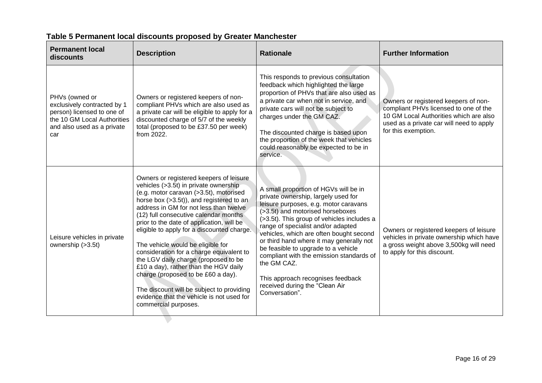| <b>Permanent local</b><br>discounts                                                                                                             | <b>Description</b>                                                                                                                                                                                                                                                                                                                                                                                                                                                                                                                                                                                                                                                             | <b>Rationale</b>                                                                                                                                                                                                                                                                                                                                                                                                                                                                                                                | <b>Further Information</b>                                                                                                                                                                 |
|-------------------------------------------------------------------------------------------------------------------------------------------------|--------------------------------------------------------------------------------------------------------------------------------------------------------------------------------------------------------------------------------------------------------------------------------------------------------------------------------------------------------------------------------------------------------------------------------------------------------------------------------------------------------------------------------------------------------------------------------------------------------------------------------------------------------------------------------|---------------------------------------------------------------------------------------------------------------------------------------------------------------------------------------------------------------------------------------------------------------------------------------------------------------------------------------------------------------------------------------------------------------------------------------------------------------------------------------------------------------------------------|--------------------------------------------------------------------------------------------------------------------------------------------------------------------------------------------|
| PHVs (owned or<br>exclusively contracted by 1<br>person) licensed to one of<br>the 10 GM Local Authorities<br>and also used as a private<br>car | Owners or registered keepers of non-<br>compliant PHVs which are also used as<br>a private car will be eligible to apply for a<br>discounted charge of 5/7 of the weekly<br>total (proposed to be £37.50 per week)<br>from 2022.                                                                                                                                                                                                                                                                                                                                                                                                                                               | This responds to previous consultation<br>feedback which highlighted the large<br>proportion of PHVs that are also used as<br>a private car when not in service, and<br>private cars will not be subject to<br>charges under the GM CAZ.<br>The discounted charge is based upon<br>the proportion of the week that vehicles<br>could reasonably be expected to be in<br>service.                                                                                                                                                | Owners or registered keepers of non-<br>compliant PHVs licensed to one of the<br>10 GM Local Authorities which are also<br>used as a private car will need to apply<br>for this exemption. |
| Leisure vehicles in private<br>ownership (>3.5t)                                                                                                | Owners or registered keepers of leisure<br>vehicles (>3.5t) in private ownership<br>(e.g. motor caravan (>3.5t), motorised<br>horse box (>3.5t)), and registered to an<br>address in GM for not less than twelve<br>(12) full consecutive calendar months<br>prior to the date of application, will be<br>eligible to apply for a discounted charge.<br>The vehicle would be eligible for<br>consideration for a charge equivalent to<br>the LGV daily charge (proposed to be<br>£10 a day), rather than the HGV daily<br>charge (proposed to be £60 a day).<br>The discount will be subject to providing<br>evidence that the vehicle is not used for<br>commercial purposes. | A small proportion of HGVs will be in<br>private ownership, largely used for<br>leisure purposes, e.g. motor caravans<br>(>3.5t) and motorised horseboxes<br>(>3.5t). This group of vehicles includes a<br>range of specialist and/or adapted<br>vehicles, which are often bought second<br>or third hand where it may generally not<br>be feasible to upgrade to a vehicle<br>compliant with the emission standards of<br>the GM CAZ.<br>This approach recognises feedback<br>received during the "Clean Air<br>Conversation". | Owners or registered keepers of leisure<br>vehicles in private ownership which have<br>a gross weight above 3,500kg will need<br>to apply for this discount.                               |

# **Table 5 Permanent local discounts proposed by Greater Manchester**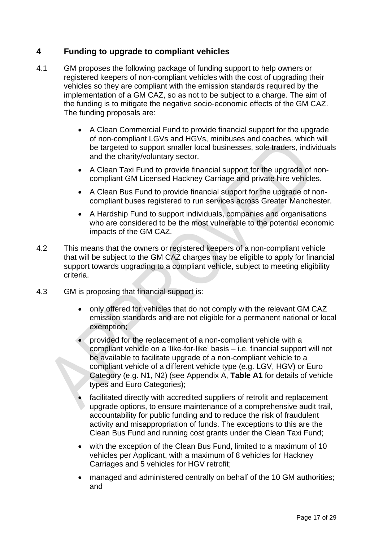### <span id="page-16-0"></span>**4 Funding to upgrade to compliant vehicles**

- 4.1 GM proposes the following package of funding support to help owners or registered keepers of non-compliant vehicles with the cost of upgrading their vehicles so they are compliant with the emission standards required by the implementation of a GM CAZ, so as not to be subject to a charge. The aim of the funding is to mitigate the negative socio-economic effects of the GM CAZ. The funding proposals are:
	- A Clean Commercial Fund to provide financial support for the upgrade of non-compliant LGVs and HGVs, minibuses and coaches, which will be targeted to support smaller local businesses, sole traders, individuals and the charity/voluntary sector.
	- A Clean Taxi Fund to provide financial support for the upgrade of noncompliant GM Licensed Hackney Carriage and private hire vehicles.
	- A Clean Bus Fund to provide financial support for the upgrade of noncompliant buses registered to run services across Greater Manchester.
	- A Hardship Fund to support individuals, companies and organisations who are considered to be the most vulnerable to the potential economic impacts of the GM CAZ.
- 4.2 This means that the owners or registered keepers of a non-compliant vehicle that will be subject to the GM CAZ charges may be eligible to apply for financial support towards upgrading to a compliant vehicle, subject to meeting eligibility criteria.
- 4.3 GM is proposing that financial support is:
	- only offered for vehicles that do not comply with the relevant GM CAZ emission standards and are not eligible for a permanent national or local exemption;
	- provided for the replacement of a non-compliant vehicle with a compliant vehicle on a 'like-for-like' basis – i.e. financial support will not be available to facilitate upgrade of a non-compliant vehicle to a compliant vehicle of a different vehicle type (e.g. LGV, HGV) or Euro Category (e.g. N1, N2) (see Appendix A, **Table A1** for details of vehicle types and Euro Categories);
	- facilitated directly with accredited suppliers of retrofit and replacement upgrade options, to ensure maintenance of a comprehensive audit trail, accountability for public funding and to reduce the risk of fraudulent activity and misappropriation of funds. The exceptions to this are the Clean Bus Fund and running cost grants under the Clean Taxi Fund;
	- with the exception of the Clean Bus Fund, limited to a maximum of 10 vehicles per Applicant, with a maximum of 8 vehicles for Hackney Carriages and 5 vehicles for HGV retrofit;
	- managed and administered centrally on behalf of the 10 GM authorities; and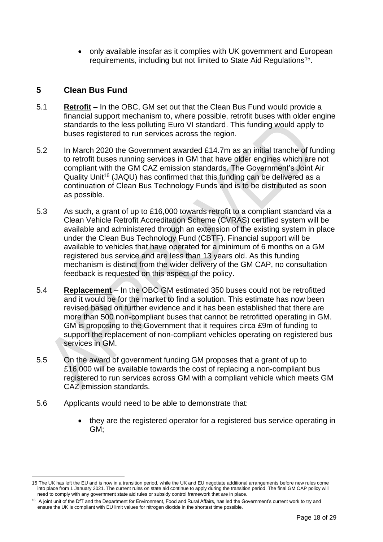• only available insofar as it complies with UK government and European requirements, including but not limited to State Aid Regulations<sup>15</sup>.

### <span id="page-17-0"></span>**5 Clean Bus Fund**

- 5.1 **Retrofit** In the OBC, GM set out that the Clean Bus Fund would provide a financial support mechanism to, where possible, retrofit buses with older engine standards to the less polluting Euro VI standard. This funding would apply to buses registered to run services across the region.
- 5.2 In March 2020 the Government awarded £14.7m as an initial tranche of funding to retrofit buses running services in GM that have older engines which are not compliant with the GM CAZ emission standards. The Government's Joint Air Quality Unit<sup>16</sup> (JAQU) has confirmed that this funding can be delivered as a continuation of Clean Bus Technology Funds and is to be distributed as soon as possible.
- 5.3 As such, a grant of up to £16,000 towards retrofit to a compliant standard via a Clean Vehicle Retrofit Accreditation Scheme (CVRAS) certified system will be available and administered through an extension of the existing system in place under the Clean Bus Technology Fund (CBTF). Financial support will be available to vehicles that have operated for a minimum of 6 months on a GM registered bus service and are less than 13 years old. As this funding mechanism is distinct from the wider delivery of the GM CAP, no consultation feedback is requested on this aspect of the policy.
- 5.4 **Replacement** In the OBC GM estimated 350 buses could not be retrofitted and it would be for the market to find a solution. This estimate has now been revised based on further evidence and it has been established that there are more than 500 non-compliant buses that cannot be retrofitted operating in GM. GM is proposing to the Government that it requires circa £9m of funding to support the replacement of non-compliant vehicles operating on registered bus services in GM.
- 5.5 On the award of government funding GM proposes that a grant of up to £16,000 will be available towards the cost of replacing a non-compliant bus registered to run services across GM with a compliant vehicle which meets GM CAZ emission standards.
- 5.6 Applicants would need to be able to demonstrate that:
	- they are the registered operator for a registered bus service operating in GM;

<sup>15</sup> The UK has left the EU and is now in a transition period, while the UK and EU negotiate additional arrangements before new rules come into place from 1 January 2021. The current rules on state aid continue to apply during the transition period. The final GM CAP policy will need to comply with any government state aid rules or subsidy control framework that are in place.

<sup>&</sup>lt;sup>16</sup> A joint unit of the DfT and the Department for Environment, Food and Rural Affairs, has led the Government's current work to try and ensure the UK is compliant with EU limit values for nitrogen dioxide in the shortest time possible.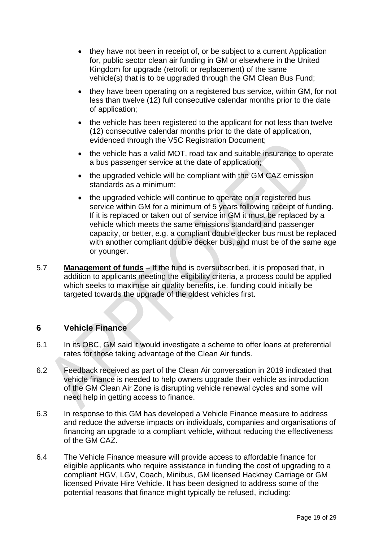- they have not been in receipt of, or be subject to a current Application for, public sector clean air funding in GM or elsewhere in the United Kingdom for upgrade (retrofit or replacement) of the same vehicle(s) that is to be upgraded through the GM Clean Bus Fund;
- they have been operating on a registered bus service, within GM, for not less than twelve (12) full consecutive calendar months prior to the date of application;
- the vehicle has been registered to the applicant for not less than twelve (12) consecutive calendar months prior to the date of application, evidenced through the V5C Registration Document;
- the vehicle has a valid MOT, road tax and suitable insurance to operate a bus passenger service at the date of application;
- the upgraded vehicle will be compliant with the GM CAZ emission standards as a minimum;
- the upgraded vehicle will continue to operate on a registered bus service within GM for a minimum of 5 years following receipt of funding. If it is replaced or taken out of service in GM it must be replaced by a vehicle which meets the same emissions standard and passenger capacity, or better, e.g. a compliant double decker bus must be replaced with another compliant double decker bus, and must be of the same age or younger.
- 5.7 **Management of funds** If the fund is oversubscribed, it is proposed that, in addition to applicants meeting the eligibility criteria, a process could be applied which seeks to maximise air quality benefits, i.e. funding could initially be targeted towards the upgrade of the oldest vehicles first.

#### <span id="page-18-0"></span>**6 Vehicle Finance**

- 6.1 In its OBC, GM said it would investigate a scheme to offer loans at preferential rates for those taking advantage of the Clean Air funds.
- 6.2 Feedback received as part of the Clean Air conversation in 2019 indicated that vehicle finance is needed to help owners upgrade their vehicle as introduction of the GM Clean Air Zone is disrupting vehicle renewal cycles and some will need help in getting access to finance.
- 6.3 In response to this GM has developed a Vehicle Finance measure to address and reduce the adverse impacts on individuals, companies and organisations of financing an upgrade to a compliant vehicle, without reducing the effectiveness of the GM CAZ.
- 6.4 The Vehicle Finance measure will provide access to affordable finance for eligible applicants who require assistance in funding the cost of upgrading to a compliant HGV, LGV, Coach, Minibus, GM licensed Hackney Carriage or GM licensed Private Hire Vehicle. It has been designed to address some of the potential reasons that finance might typically be refused, including: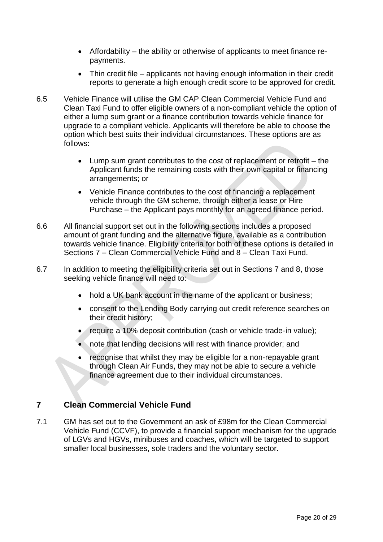- Affordability the ability or otherwise of applicants to meet finance repayments.
- Thin credit file applicants not having enough information in their credit reports to generate a high enough credit score to be approved for credit.
- 6.5 Vehicle Finance will utilise the GM CAP Clean Commercial Vehicle Fund and Clean Taxi Fund to offer eligible owners of a non-compliant vehicle the option of either a lump sum grant or a finance contribution towards vehicle finance for upgrade to a compliant vehicle. Applicants will therefore be able to choose the option which best suits their individual circumstances. These options are as follows:
	- Lump sum grant contributes to the cost of replacement or retrofit the Applicant funds the remaining costs with their own capital or financing arrangements; or
	- Vehicle Finance contributes to the cost of financing a replacement vehicle through the GM scheme, through either a lease or Hire Purchase – the Applicant pays monthly for an agreed finance period.
- 6.6 All financial support set out in the following sections includes a proposed amount of grant funding and the alternative figure, available as a contribution towards vehicle finance. Eligibility criteria for both of these options is detailed in Sections 7 – Clean Commercial Vehicle Fund and 8 – Clean Taxi Fund.
- 6.7 In addition to meeting the eligibility criteria set out in Sections 7 and 8, those seeking vehicle finance will need to:
	- hold a UK bank account in the name of the applicant or business;
	- consent to the Lending Body carrying out credit reference searches on their credit history;
	- require a 10% deposit contribution (cash or vehicle trade-in value);
	- note that lending decisions will rest with finance provider: and
	- recognise that whilst they may be eligible for a non-repayable grant through Clean Air Funds, they may not be able to secure a vehicle finance agreement due to their individual circumstances.

### <span id="page-19-0"></span>**7 Clean Commercial Vehicle Fund**

7.1 GM has set out to the Government an ask of £98m for the Clean Commercial Vehicle Fund (CCVF), to provide a financial support mechanism for the upgrade of LGVs and HGVs, minibuses and coaches, which will be targeted to support smaller local businesses, sole traders and the voluntary sector.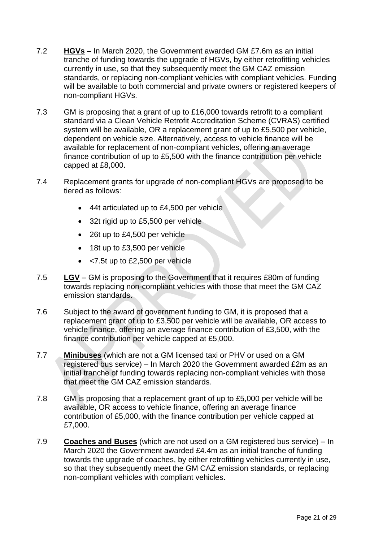- 7.2 **HGVs** In March 2020, the Government awarded GM £7.6m as an initial tranche of funding towards the upgrade of HGVs, by either retrofitting vehicles currently in use, so that they subsequently meet the GM CAZ emission standards, or replacing non-compliant vehicles with compliant vehicles. Funding will be available to both commercial and private owners or registered keepers of non-compliant HGVs.
- 7.3 GM is proposing that a grant of up to £16,000 towards retrofit to a compliant standard via a Clean Vehicle Retrofit Accreditation Scheme (CVRAS) certified system will be available, OR a replacement grant of up to £5,500 per vehicle, dependent on vehicle size. Alternatively, access to vehicle finance will be available for replacement of non-compliant vehicles, offering an average finance contribution of up to £5,500 with the finance contribution per vehicle capped at £8,000.
- 7.4 Replacement grants for upgrade of non-compliant HGVs are proposed to be tiered as follows:
	- 44t articulated up to £4,500 per vehicle
	- 32t rigid up to £5,500 per vehicle
	- 26t up to £4,500 per vehicle
	- 18t up to £3,500 per vehicle
	- <7.5t up to £2,500 per vehicle
- 7.5 **LGV** GM is proposing to the Government that it requires £80m of funding towards replacing non-compliant vehicles with those that meet the GM CAZ emission standards.
- 7.6 Subject to the award of government funding to GM, it is proposed that a replacement grant of up to £3,500 per vehicle will be available, OR access to vehicle finance, offering an average finance contribution of £3,500, with the finance contribution per vehicle capped at £5,000.
- 7.7 **Minibuses** (which are not a GM licensed taxi or PHV or used on a GM registered bus service) – In March 2020 the Government awarded £2m as an initial tranche of funding towards replacing non-compliant vehicles with those that meet the GM CAZ emission standards.
- 7.8 GM is proposing that a replacement grant of up to £5,000 per vehicle will be available, OR access to vehicle finance, offering an average finance contribution of £5,000, with the finance contribution per vehicle capped at £7,000.
- 7.9 **Coaches and Buses** (which are not used on a GM registered bus service) In March 2020 the Government awarded £4.4m as an initial tranche of funding towards the upgrade of coaches, by either retrofitting vehicles currently in use, so that they subsequently meet the GM CAZ emission standards, or replacing non-compliant vehicles with compliant vehicles.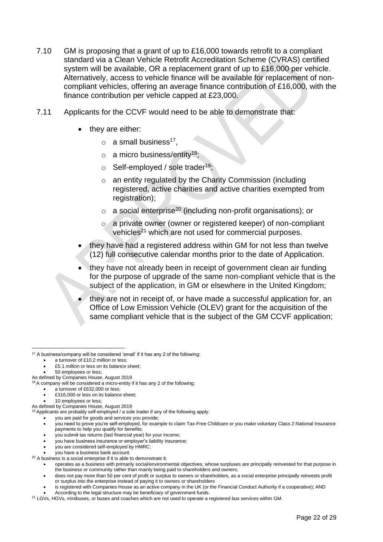- 7.10 GM is proposing that a grant of up to £16,000 towards retrofit to a compliant standard via a Clean Vehicle Retrofit Accreditation Scheme (CVRAS) certified system will be available, OR a replacement grant of up to £16,000 per vehicle. Alternatively, access to vehicle finance will be available for replacement of noncompliant vehicles, offering an average finance contribution of £16,000, with the finance contribution per vehicle capped at £23,000.
- 7.11 Applicants for the CCVF would need to be able to demonstrate that:
	- they are either:
		- $\circ$  a small business<sup>17</sup>,
		- $\circ$  a micro business/entity<sup>18</sup>;
		- $\circ$  Self-employed / sole trader<sup>19</sup>:
		- o an entity regulated by the Charity Commission (including registered, active charities and active charities exempted from registration);
		- $\circ$  a social enterprise<sup>20</sup> (including non-profit organisations); or
		- o a private owner (owner or registered keeper) of non-compliant vehicles<sup>21</sup> which are not used for commercial purposes.
	- they have had a registered address within GM for not less than twelve (12) full consecutive calendar months prior to the date of Application.
	- they have not already been in receipt of government clean air funding for the purpose of upgrade of the same non-compliant vehicle that is the subject of the application, in GM or elsewhere in the United Kingdom;
	- they are not in receipt of, or have made a successful application for, an Office of Low Emission Vehicle (OLEV) grant for the acquisition of the same compliant vehicle that is the subject of the GM CCVF application;

- you are paid for goods and services you provide;
- you need to prove you're self-employed, for example to claim Tax-Free Childcare or you make voluntary Class 2 National Insurance payments to help you qualify for benefits;
- you submit tax returns (last financial year) for your income;
- you have business insurance or employer's liability insurance;
- you are considered self-employed by HMRC;
- you have a business bank account.
- $20$  A business is a social enterprise if it is able to demonstrate it:
	- operates as a business with primarily social/environmental objectives, whose surpluses are principally reinvested for that purpose in the business or community rather than mainly being paid to shareholders and owners;
	- does not pay more than 50 per cent of profit or surplus to owners or shareholders, as a social enterprise principally reinvests profit or surplus into the enterprise instead of paying it to owners or shareholders
	- is registered with Companies House as an active company in the UK (or the Financial Conduct Authority if a cooperative); AND
	- According to the legal structure may be beneficiary of government funds.
- <sup>21</sup> LGVs, HGVs, minibuses, or buses and coaches which are not used to operate a registered bus services within GM.

 $17$  A business/company will be considered 'small' if it has any 2 of the following:

a turnover of £10.2 million or less:

<sup>•</sup> £5.1 million or less on its balance sheet;

<sup>•</sup> 50 employees or less;

As defined by Companies House, August 2019

 $18A$  company will be considered a micro-entity if it has any 2 of the following:

<sup>•</sup> a turnover of £632,000 or less;

<sup>•</sup> £316,000 or less on its balance sheet;

<sup>10</sup> employees or less;

As defined by Companies House, August 2019

<sup>&</sup>lt;sup>19</sup> Applicants are probably self-employed / a sole trader if any of the following apply: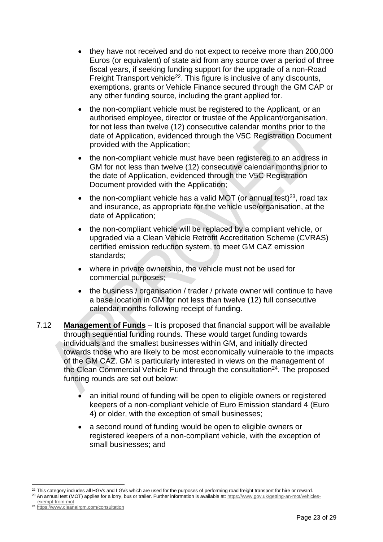- they have not received and do not expect to receive more than 200,000 Euros (or equivalent) of state aid from any source over a period of three fiscal years, if seeking funding support for the upgrade of a non-Road Freight Transport vehicle<sup>22</sup>. This figure is inclusive of any discounts, exemptions, grants or Vehicle Finance secured through the GM CAP or any other funding source, including the grant applied for.
- the non-compliant vehicle must be registered to the Applicant, or an authorised employee, director or trustee of the Applicant/organisation, for not less than twelve (12) consecutive calendar months prior to the date of Application, evidenced through the V5C Registration Document provided with the Application;
- the non-compliant vehicle must have been registered to an address in GM for not less than twelve (12) consecutive calendar months prior to the date of Application, evidenced through the V5C Registration Document provided with the Application;
- the non-compliant vehicle has a valid MOT (or annual test)<sup>23</sup>, road tax and insurance, as appropriate for the vehicle use/organisation, at the date of Application;
- the non-compliant vehicle will be replaced by a compliant vehicle, or upgraded via a Clean Vehicle Retrofit Accreditation Scheme (CVRAS) certified emission reduction system, to meet GM CAZ emission standards;
- where in private ownership, the vehicle must not be used for commercial purposes;
- the business / organisation / trader / private owner will continue to have a base location in GM for not less than twelve (12) full consecutive calendar months following receipt of funding.
- 7.12 **Management of Funds** It is proposed that financial support will be available through sequential funding rounds. These would target funding towards individuals and the smallest businesses within GM, and initially directed towards those who are likely to be most economically vulnerable to the impacts of the GM CAZ. GM is particularly interested in views on the management of the Clean Commercial Vehicle Fund through the consultation<sup>24</sup>. The proposed funding rounds are set out below:
	- an initial round of funding will be open to eligible owners or registered keepers of a non-compliant vehicle of Euro Emission standard 4 (Euro 4) or older, with the exception of small businesses;
	- a second round of funding would be open to eligible owners or registered keepers of a non-compliant vehicle, with the exception of small businesses; and

<sup>&</sup>lt;sup>22</sup> This category includes all HGVs and LGVs which are used for the purposes of performing road freight transport for hire or reward.

<sup>&</sup>lt;sup>23</sup> An annual test (MOT) applies for a lorry, bus or trailer. Further information is available at[: https://www.gov.uk/getting-an-mot/vehicles](https://www.gov.uk/getting-an-mot/vehicles-exempt-from-mot)[exempt-from-mot](https://www.gov.uk/getting-an-mot/vehicles-exempt-from-mot)

<sup>24</sup> <https://www.cleanairgm.com/consultation>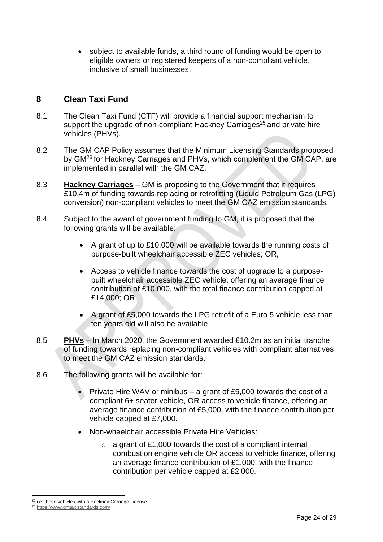• subject to available funds, a third round of funding would be open to eligible owners or registered keepers of a non-compliant vehicle, inclusive of small businesses.

### <span id="page-23-0"></span>**8 Clean Taxi Fund**

- 8.1 The Clean Taxi Fund (CTF) will provide a financial support mechanism to support the upgrade of non-compliant Hackney Carriages<sup>25</sup> and private hire vehicles (PHVs).
- 8.2 The GM CAP Policy assumes that the Minimum Licensing Standards proposed by GM<sup>26</sup> for Hackney Carriages and PHVs, which complement the GM CAP, are implemented in parallel with the GM CAZ.
- 8.3 **Hackney Carriages** GM is proposing to the Government that it requires £10.4m of funding towards replacing or retrofitting (Liquid Petroleum Gas (LPG) conversion) non-compliant vehicles to meet the GM CAZ emission standards.
- 8.4 Subject to the award of government funding to GM, it is proposed that the following grants will be available:
	- A grant of up to £10,000 will be available towards the running costs of purpose-built wheelchair accessible ZEC vehicles; OR,
	- Access to vehicle finance towards the cost of upgrade to a purposebuilt wheelchair accessible ZEC vehicle, offering an average finance contribution of £10,000, with the total finance contribution capped at £14,000; OR,
	- A grant of £5,000 towards the LPG retrofit of a Euro 5 vehicle less than ten years old will also be available.
- 8.5 **PHVs** In March 2020, the Government awarded £10.2m as an initial tranche of funding towards replacing non-compliant vehicles with compliant alternatives to meet the GM CAZ emission standards.
- 8.6 The following grants will be available for:
	- Private Hire WAV or minibus a grant of £5,000 towards the cost of a compliant 6+ seater vehicle, OR access to vehicle finance, offering an average finance contribution of £5,000, with the finance contribution per vehicle capped at £7,000.
	- Non-wheelchair accessible Private Hire Vehicles:
		- $\circ$  a grant of £1,000 towards the cost of a compliant internal combustion engine vehicle OR access to vehicle finance, offering an average finance contribution of £1,000, with the finance contribution per vehicle capped at £2,000.

<sup>&</sup>lt;sup>25</sup> i.e. those vehicles with a Hackney Carriage License.

<sup>26</sup> <https://www.gmtaxistandards.com/>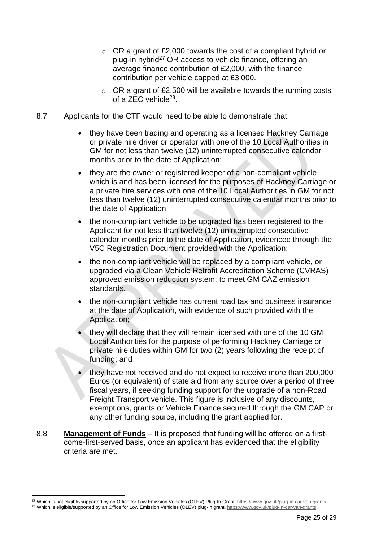- $\circ$  OR a grant of £2,000 towards the cost of a compliant hybrid or plug-in hybrid<sup>27</sup> OR access to vehicle finance, offering an average finance contribution of £2,000, with the finance contribution per vehicle capped at £3,000.
- $\circ$  OR a grant of £2,500 will be available towards the running costs of a ZEC vehicle<sup>28</sup>.
- 8.7 Applicants for the CTF would need to be able to demonstrate that:
	- they have been trading and operating as a licensed Hackney Carriage or private hire driver or operator with one of the 10 Local Authorities in GM for not less than twelve (12) uninterrupted consecutive calendar months prior to the date of Application;
	- they are the owner or registered keeper of a non-compliant vehicle which is and has been licensed for the purposes of Hackney Carriage or a private hire services with one of the 10 Local Authorities in GM for not less than twelve (12) uninterrupted consecutive calendar months prior to the date of Application;
	- the non-compliant vehicle to be upgraded has been registered to the Applicant for not less than twelve (12) uninterrupted consecutive calendar months prior to the date of Application, evidenced through the V5C Registration Document provided with the Application;
	- the non-compliant vehicle will be replaced by a compliant vehicle, or upgraded via a Clean Vehicle Retrofit Accreditation Scheme (CVRAS) approved emission reduction system, to meet GM CAZ emission standards.
	- the non-compliant vehicle has current road tax and business insurance at the date of Application, with evidence of such provided with the Application;
	- they will declare that they will remain licensed with one of the 10 GM Local Authorities for the purpose of performing Hackney Carriage or private hire duties within GM for two (2) years following the receipt of funding; and
	- they have not received and do not expect to receive more than 200,000 Euros (or equivalent) of state aid from any source over a period of three fiscal years, if seeking funding support for the upgrade of a non-Road Freight Transport vehicle. This figure is inclusive of any discounts, exemptions, grants or Vehicle Finance secured through the GM CAP or any other funding source, including the grant applied for.
- 8.8 **Management of Funds** It is proposed that funding will be offered on a firstcome-first-served basis, once an applicant has evidenced that the eligibility criteria are met.

<sup>&</sup>lt;sup>27</sup> Which is not eligible/supported by an Office for Low Emission Vehicles (OLEV) Plug-In Grant. https://www.gov.uk/plug-in-car-van-grants

<sup>28</sup> Which is eligible/supported by an Office for Low Emission Vehicles (OLEV) plug-in grant[. https://www.gov.uk/plug-in-car-van-grants](https://www.gov.uk/plug-in-car-van-grants)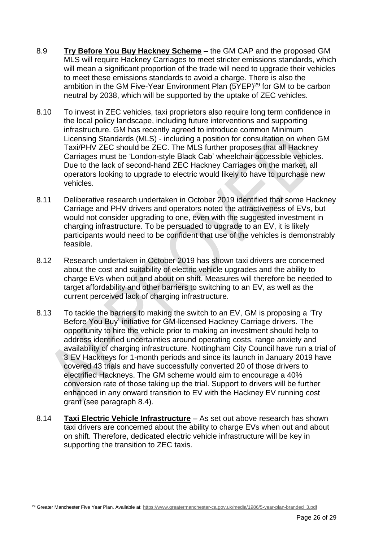- 8.9 **Try Before You Buy Hackney Scheme** the GM CAP and the proposed GM MLS will require Hackney Carriages to meet stricter emissions standards, which will mean a significant proportion of the trade will need to upgrade their vehicles to meet these emissions standards to avoid a charge. There is also the ambition in the GM Five-Year Environment Plan (5YEP)<sup>29</sup> for GM to be carbon neutral by 2038, which will be supported by the uptake of ZEC vehicles.
- 8.10 To invest in ZEC vehicles, taxi proprietors also require long term confidence in the local policy landscape, including future interventions and supporting infrastructure. GM has recently agreed to introduce common Minimum Licensing Standards (MLS) - including a position for consultation on when GM Taxi/PHV ZEC should be ZEC. The MLS further proposes that all Hackney Carriages must be 'London-style Black Cab' wheelchair accessible vehicles. Due to the lack of second-hand ZEC Hackney Carriages on the market, all operators looking to upgrade to electric would likely to have to purchase new vehicles.
- 8.11 Deliberative research undertaken in October 2019 identified that some Hackney Carriage and PHV drivers and operators noted the attractiveness of EVs, but would not consider upgrading to one, even with the suggested investment in charging infrastructure. To be persuaded to upgrade to an EV, it is likely participants would need to be confident that use of the vehicles is demonstrably feasible.
- 8.12 Research undertaken in October 2019 has shown taxi drivers are concerned about the cost and suitability of electric vehicle upgrades and the ability to charge EVs when out and about on shift. Measures will therefore be needed to target affordability and other barriers to switching to an EV, as well as the current perceived lack of charging infrastructure.
- 8.13 To tackle the barriers to making the switch to an EV, GM is proposing a 'Try Before You Buy' initiative for GM-licensed Hackney Carriage drivers. The opportunity to hire the vehicle prior to making an investment should help to address identified uncertainties around operating costs, range anxiety and availability of charging infrastructure. Nottingham City Council have run a trial of 3 EV Hackneys for 1-month periods and since its launch in January 2019 have covered 43 trials and have successfully converted 20 of those drivers to electrified Hackneys. The GM scheme would aim to encourage a 40% conversion rate of those taking up the trial. Support to drivers will be further enhanced in any onward transition to EV with the Hackney EV running cost grant (see paragraph 8.4).
- 8.14 **Taxi Electric Vehicle Infrastructure** As set out above research has shown taxi drivers are concerned about the ability to charge EVs when out and about on shift. Therefore, dedicated electric vehicle infrastructure will be key in supporting the transition to ZEC taxis.

<sup>&</sup>lt;sup>29</sup> Greater Manchester Five Year Plan. Available at[: https://www.greatermanchester-ca.gov.uk/media/1986/5-year-plan-branded\\_3.pdf](https://www.greatermanchester-ca.gov.uk/media/1986/5-year-plan-branded_3.pdf)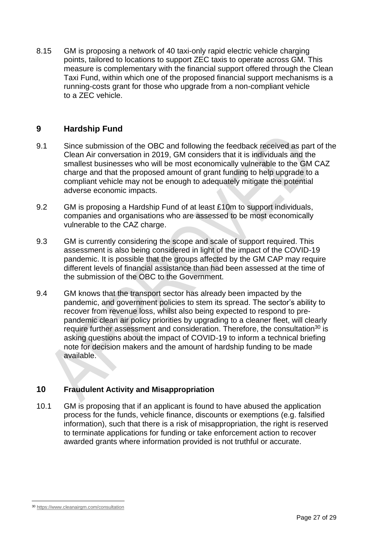8.15 GM is proposing a network of 40 taxi-only rapid electric vehicle charging points, tailored to locations to support ZEC taxis to operate across GM. This measure is complementary with the financial support offered through the Clean Taxi Fund, within which one of the proposed financial support mechanisms is a running-costs grant for those who upgrade from a non-compliant vehicle to a ZEC vehicle.

## <span id="page-26-0"></span>**9 Hardship Fund**

- 9.1 Since submission of the OBC and following the feedback received as part of the Clean Air conversation in 2019, GM considers that it is individuals and the smallest businesses who will be most economically vulnerable to the GM CAZ charge and that the proposed amount of grant funding to help upgrade to a compliant vehicle may not be enough to adequately mitigate the potential adverse economic impacts.
- 9.2 GM is proposing a Hardship Fund of at least £10m to support individuals, companies and organisations who are assessed to be most economically vulnerable to the CAZ charge.
- 9.3 GM is currently considering the scope and scale of support required. This assessment is also being considered in light of the impact of the COVID-19 pandemic. It is possible that the groups affected by the GM CAP may require different levels of financial assistance than had been assessed at the time of the submission of the OBC to the Government.
- 9.4 GM knows that the transport sector has already been impacted by the pandemic, and government policies to stem its spread. The sector's ability to recover from revenue loss, whilst also being expected to respond to prepandemic clean air policy priorities by upgrading to a cleaner fleet, will clearly require further assessment and consideration. Therefore, the consultation<sup>30</sup> is asking questions about the impact of COVID-19 to inform a technical briefing note for decision makers and the amount of hardship funding to be made available.

#### <span id="page-26-1"></span>**10 Fraudulent Activity and Misappropriation**

10.1 GM is proposing that if an applicant is found to have abused the application process for the funds, vehicle finance, discounts or exemptions (e.g. falsified information), such that there is a risk of misappropriation, the right is reserved to terminate applications for funding or take enforcement action to recover awarded grants where information provided is not truthful or accurate.

<sup>30</sup> <https://www.cleanairgm.com/consultation>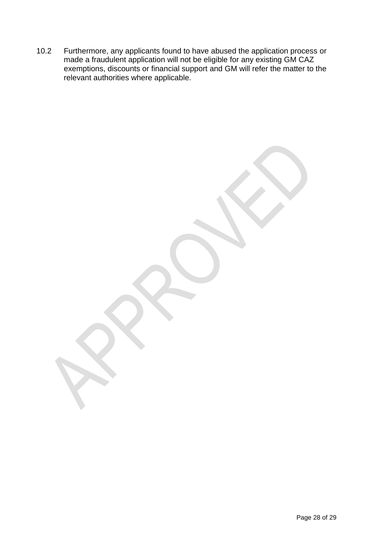10.2 Furthermore, any applicants found to have abused the application process or made a fraudulent application will not be eligible for any existing GM CAZ exemptions, discounts or financial support and GM will refer the matter to the relevant authorities where applicable.

Page 28 of 29